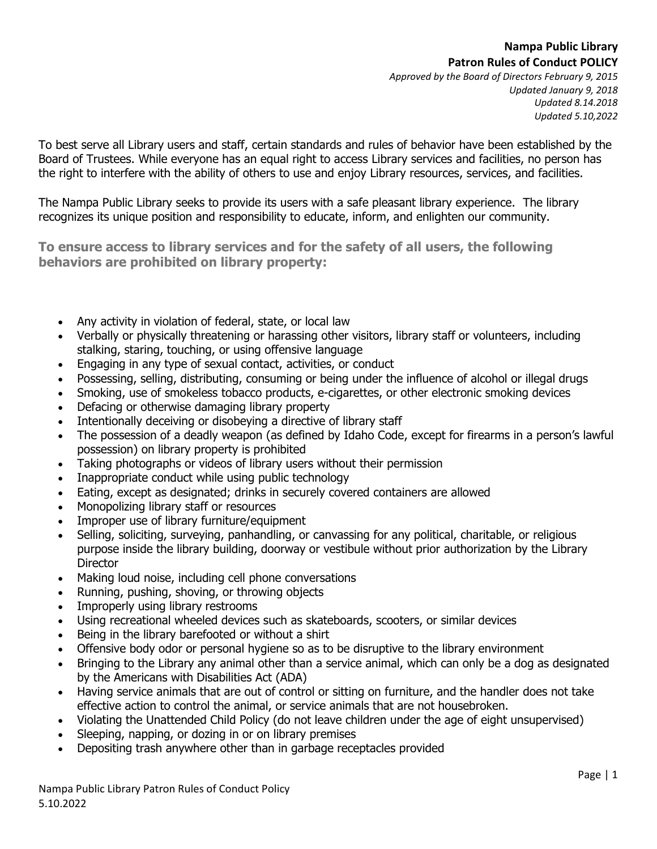*Approved by the Board of Directors February 9, 2015 Updated January 9, 2018 Updated 8.14.2018 Updated 5.10,2022*

To best serve all Library users and staff, certain standards and rules of behavior have been established by the Board of Trustees. While everyone has an equal right to access Library services and facilities, no person has the right to interfere with the ability of others to use and enjoy Library resources, services, and facilities.

The Nampa Public Library seeks to provide its users with a safe pleasant library experience. The library recognizes its unique position and responsibility to educate, inform, and enlighten our community.

**To ensure access to library services and for the safety of all users, the following behaviors are prohibited on library property:**

- Any activity in violation of federal, state, or local law
- Verbally or physically threatening or harassing other visitors, library staff or volunteers, including stalking, staring, touching, or using offensive language
- Engaging in any type of sexual contact, activities, or conduct
- Possessing, selling, distributing, consuming or being under the influence of alcohol or illegal drugs
- Smoking, use of smokeless tobacco products, e-cigarettes, or other electronic smoking devices
- Defacing or otherwise damaging library property
- Intentionally deceiving or disobeying a directive of library staff
- The possession of a deadly weapon (as defined by Idaho Code, except for firearms in a person's lawful possession) on library property is prohibited
- Taking photographs or videos of library users without their permission
- Inappropriate conduct while using public technology
- Eating, except as designated; drinks in securely covered containers are allowed
- Monopolizing library staff or resources
- Improper use of library furniture/equipment
- Selling, soliciting, surveying, panhandling, or canvassing for any political, charitable, or religious purpose inside the library building, doorway or vestibule without prior authorization by the Library **Director**
- Making loud noise, including cell phone conversations
- Running, pushing, shoving, or throwing objects
- Improperly using library restrooms
- Using recreational wheeled devices such as skateboards, scooters, or similar devices
- Being in the library barefooted or without a shirt
- Offensive body odor or personal hygiene so as to be disruptive to the library environment
- Bringing to the Library any animal other than a service animal, which can only be a dog as designated by the Americans with Disabilities Act (ADA)
- Having service animals that are out of control or sitting on furniture, and the handler does not take effective action to control the animal, or service animals that are not housebroken.
- Violating the Unattended Child Policy (do not leave children under the age of eight unsupervised)
- Sleeping, napping, or dozing in or on library premises
- Depositing trash anywhere other than in garbage receptacles provided